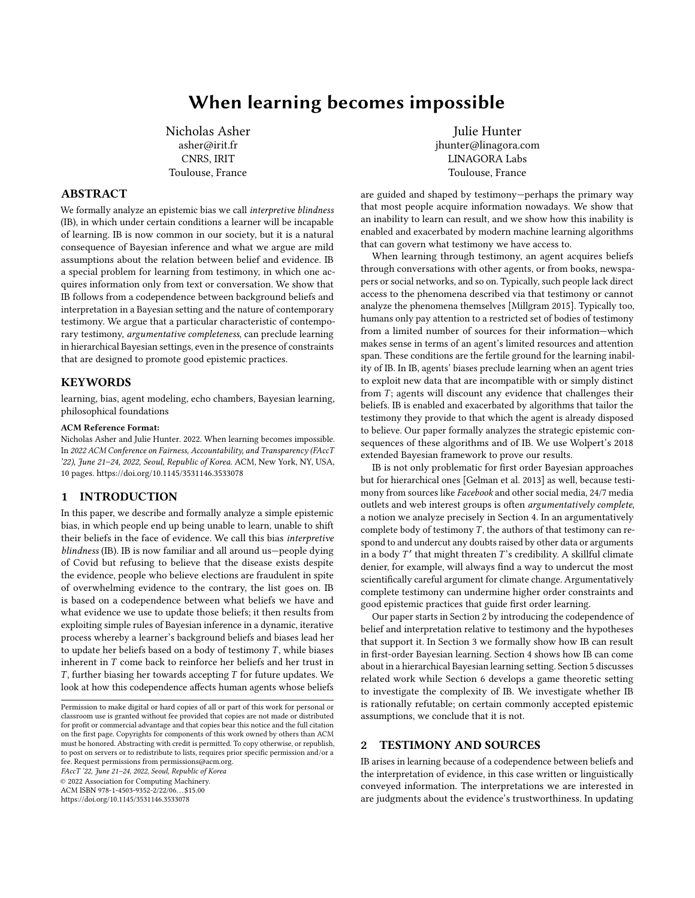# When learning becomes impossible

[Nicholas Asher](https://orcid.org/000) asher@irit.fr CNRS, IRIT Toulouse, France

# <span id="page-0-1"></span>ABSTRACT

We formally analyze an epistemic bias we call interpretive blindness (IB), in which under certain conditions a learner will be incapable of learning. IB is now common in our society, but it is a natural consequence of Bayesian inference and what we argue are mild assumptions about the relation between belief and evidence. IB a special problem for learning from testimony, in which one acquires information only from text or conversation. We show that IB follows from a codependence between background beliefs and interpretation in a Bayesian setting and the nature of contemporary testimony. We argue that a particular characteristic of contemporary testimony, argumentative completeness, can preclude learning in hierarchical Bayesian settings, even in the presence of constraints that are designed to promote good epistemic practices.

## KEYWORDS

learning, bias, agent modeling, echo chambers, Bayesian learning, philosophical foundations

## ACM Reference Format:

Nicholas Asher and Julie Hunter. 2022. When learning becomes impossible. In 2022 ACM Conference on Fairness, Accountability, and Transparency (FAccT '22), June 21–24, 2022, Seoul, Republic of Korea. ACM, New York, NY, USA, [10](#page-9-0) pages.<https://doi.org/10.1145/3531146.3533078>

## 1 INTRODUCTION

In this paper, we describe and formally analyze a simple epistemic bias, in which people end up being unable to learn, unable to shift their beliefs in the face of evidence. We call this bias interpretive blindness (IB). IB is now familiar and all around us—people dying of Covid but refusing to believe that the disease exists despite the evidence, people who believe elections are fraudulent in spite of overwhelming evidence to the contrary, the list goes on. IB is based on a codependence between what beliefs we have and what evidence we use to update those beliefs; it then results from exploiting simple rules of Bayesian inference in a dynamic, iterative process whereby a learner's background beliefs and biases lead her to update her beliefs based on a body of testimony  $T$ , while biases inherent in T come back to reinforce her beliefs and her trust in  $T$ , further biasing her towards accepting  $T$  for future updates. We look at how this codependence affects human agents whose beliefs

FAccT '22, June 21–24, 2022, Seoul, Republic of Korea

© 2022 Association for Computing Machinery. ACM ISBN 978-1-4503-9352-2/22/06. . . \$15.00

<https://doi.org/10.1145/3531146.3533078>

[Julie Hunter](https://orcid.org/111) jhunter@linagora.com LINAGORA Labs Toulouse, France

are guided and shaped by testimony—perhaps the primary way that most people acquire information nowadays. We show that an inability to learn can result, and we show how this inability is enabled and exacerbated by modern machine learning algorithms that can govern what testimony we have access to.

When learning through testimony, an agent acquires beliefs through conversations with other agents, or from books, newspapers or social networks, and so on. Typically, such people lack direct access to the phenomena described via that testimony or cannot analyze the phenomena themselves [\[Millgram 2015\]](#page-8-0). Typically too, humans only pay attention to a restricted set of bodies of testimony from a limited number of sources for their information—which makes sense in terms of an agent's limited resources and attention span. These conditions are the fertile ground for the learning inability of IB. In IB, agents' biases preclude learning when an agent tries to exploit new data that are incompatible with or simply distinct from  $T$ ; agents will discount any evidence that challenges their beliefs. IB is enabled and exacerbated by algorithms that tailor the testimony they provide to that which the agent is already disposed to believe. Our paper formally analyzes the strategic epistemic consequences of these algorithms and of IB. We use Wolpert's [2018](#page-9-1) extended Bayesian framework to prove our results.

IB is not only problematic for first order Bayesian approaches but for hierarchical ones [\[Gelman et al.](#page-8-1) [2013\]](#page-8-1) as well, because testimony from sources like Facebook and other social media, 24/7 media outlets and web interest groups is often argumentatively complete, a notion we analyze precisely in Section 4. In an argumentatively complete body of testimony  $T$ , the authors of that testimony can respond to and undercut any doubts raised by other data or arguments in a body T' that might threaten T's credibility. A skillful climate<br>denier for example, will always find a way to undercut the most denier, for example, will always find a way to undercut the most scientifically careful argument for climate change. Argumentatively complete testimony can undermine higher order constraints and good epistemic practices that guide first order learning.

Our paper starts in Section [2](#page-0-0) by introducing the codependence of belief and interpretation relative to testimony and the hypotheses that support it. In Section [3](#page-1-0) we formally show how IB can result in first-order Bayesian learning. Section [4](#page-3-0) shows how IB can come about in a hierarchical Bayesian learning setting. Section [5](#page-5-0) discusses related work while Section [6](#page-6-0) develops a game theoretic setting to investigate the complexity of IB. We investigate whether IB is rationally refutable; on certain commonly accepted epistemic assumptions, we conclude that it is not.

## <span id="page-0-0"></span>2 TESTIMONY AND SOURCES

IB arises in learning because of a codependence between beliefs and the interpretation of evidence, in this case written or linguistically conveyed information. The interpretations we are interested in are judgments about the evidence's trustworthiness. In updating

Permission to make digital or hard copies of all or part of this work for personal or classroom use is granted without fee provided that copies are not made or distributed for profit or commercial advantage and that copies bear this notice and the full citation on the first page. Copyrights for components of this work owned by others than ACM must be honored. Abstracting with credit is permitted. To copy otherwise, or republish, to post on servers or to redistribute to lists, requires prior specific permission and/or a fee. Request permissions from permissions@acm.org.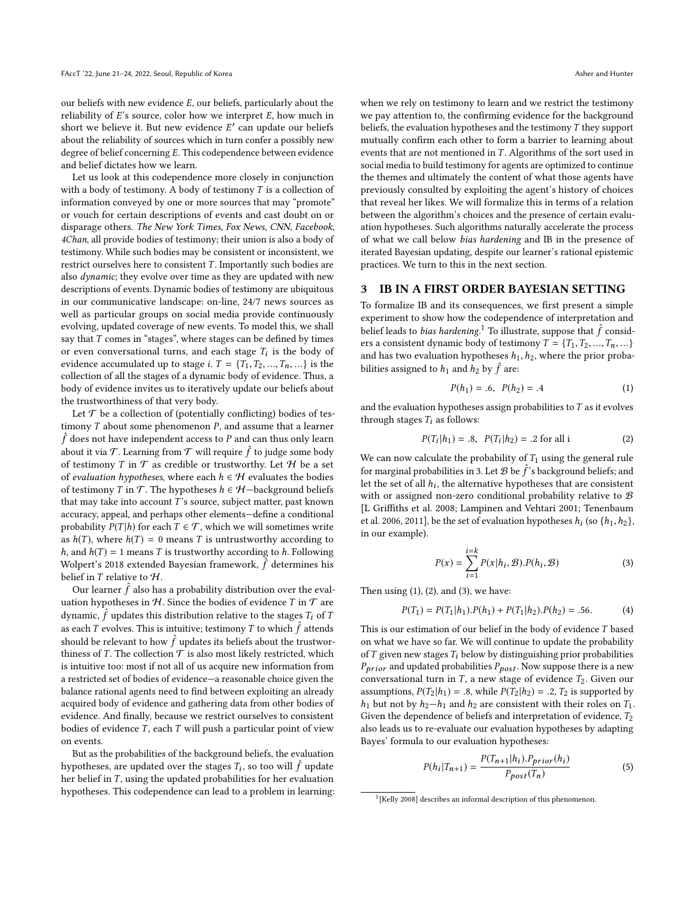our beliefs with new evidence  $E$ , our beliefs, particularly about the reliability of  $E$ 's source, color how we interpret  $E$ , how much in short we believe it. But new evidence  $E'$  can update our beliefs<br>about the reliability of sources which in turn confer a possibly new about the reliability of sources which in turn confer a possibly new degree of belief concerning E. This codependence between evidence and belief dictates how we learn.

Let us look at this codependence more closely in conjunction with a body of testimony. A body of testimony  $T$  is a collection of information conveyed by one or more sources that may "promote" or vouch for certain descriptions of events and cast doubt on or disparage others. The New York Times, Fox News, CNN, Facebook, 4Chan, all provide bodies of testimony; their union is also a body of testimony. While such bodies may be consistent or inconsistent, we restrict ourselves here to consistent  $T$ . Importantly such bodies are also dynamic; they evolve over time as they are updated with new descriptions of events. Dynamic bodies of testimony are ubiquitous in our communicative landscape: on-line, 24/7 news sources as well as particular groups on social media provide continuously evolving, updated coverage of new events. To model this, we shall say that  $T$  comes in "stages", where stages can be defined by times or even conversational turns, and each stage  $T_i$  is the body of evidence accumulated up to stage  $iT = IT$ ,  $T_0$ ,  $T_1$ , is the evidence accumulated up to stage *i*.  $T = \{T_1, T_2, ..., T_n, ...\}$  is the collection of all the stages of a dynamic body of evidence. Thus, a body of evidence invites us to iteratively update our beliefs about the trustworthiness of that very body.

Let  $\mathcal T$  be a collection of (potentially conflicting) bodies of testimony  $T$  about some phenomenon  $P$ , and assume that a learner  $\hat{f}$  does not have independent access to P and can thus only learn<br>about it via  $\mathcal{T}$ . Learning from  $\mathcal{T}$  will require  $\hat{f}$  to judge some hody about it via  $\mathcal T$ . Learning from  $\mathcal T$  will require  $\hat f$  to judge some body of testimony  $T$  in  $\mathcal T$  as credible or trustworthy. Let  $\mathcal H$  be a set of testimony T in  $\mathcal T$  as credible or trustworthy. Let  $\mathcal H$  be a set of evaluation hypotheses, where each  $h \in \mathcal{H}$  evaluates the bodies of testimony T in T. The hypotheses  $h \in \mathcal{H}$ —background beliefs that may take into account  $T$ 's source, subject matter, past known accuracy, appeal, and perhaps other elements—define a conditional probability  $P(T | h)$  for each  $T \in \mathcal{T}$ , which we will sometimes write as  $h(T)$ , where  $h(T) = 0$  means T is untrustworthy according to *h*, and  $h(T) = 1$  means *T* is trustworthy according to *h*. Following Wolpert's [2018](#page-9-1) extended Bayesian framework,  $\hat{f}$  determines his belief in  $T$  relative to  $H$ .

 $\overline{\text{Our learner } \hat{f}}$  also has a probability distribution over the eval-<br>tion bypotheses in H. Since the bodies of evidence T in T are uation hypotheses in  $\mathcal H.$  Since the bodies of evidence  $T$  in  $\mathcal T$  are dynamic,  $\hat{f}$  updates this distribution relative to the stages  $T_i$  of  $T$ <br>as each  $T$  avalues. This is intuitive testimony  $T$  to which  $\hat{f}$  attended as each T evolves. This is intuitive; testimony T to which  $\hat{f}$  attends should be relevant to how  $\hat{f}$  updates its beliefs about the trustworthiness of  $T$ . The collection  $\hat{T}$  is also most likely restricted which thiness of T. The collection  $T$  is also most likely restricted, which is intuitive too: most if not all of us acquire new information from a restricted set of bodies of evidence—a reasonable choice given the balance rational agents need to find between exploiting an already acquired body of evidence and gathering data from other bodies of evidence. And finally, because we restrict ourselves to consistent bodies of evidence  $T$ , each  $T$  will push a particular point of view on events.

But as the probabilities of the background beliefs, the evaluation hypotheses, are updated over the stages  $T_i$ , so too will  $\hat{f}$  update<br>her belief in  $T$  using the updated probabilities for her evaluation her belief in  $T$ , using the updated probabilities for her evaluation hypotheses. This codependence can lead to a problem in learning: when we rely on testimony to learn and we restrict the testimony we pay attention to, the confirming evidence for the background beliefs, the evaluation hypotheses and the testimony  $T$  they support mutually confirm each other to form a barrier to learning about events that are not mentioned in  $T$ . Algorithms of the sort used in social media to build testimony for agents are optimized to continue the themes and ultimately the content of what those agents have previously consulted by exploiting the agent's history of choices that reveal her likes. We will formalize this in terms of a relation between the algorithm's choices and the presence of certain evaluation hypotheses. Such algorithms naturally accelerate the process of what we call below bias hardening and IB in the presence of iterated Bayesian updating, despite our learner's rational epistemic practices. We turn to this in the next section.

## <span id="page-1-0"></span>3 IB IN A FIRST ORDER BAYESIAN SETTING

To formalize IB and its consequences, we first present a simple experiment to show how the codependence of interpretation and belief leads to *bias hardening*.<sup>[1](#page-0-1)</sup> To illustrate, suppose that  $\hat{f}$  considered a consistent dynamic hody of testimony  $T = \{T, T_0, T_1, \dots, T_n\}$ ers a consistent dynamic body of testimony  $T = \{T_1, T_2, ..., T_n, ...\}$ and has two evaluation hypotheses  $h_1, h_2$ , where the prior probabilities assigned to  $h_1$  and  $h_2$  by  $\hat{f}$  are:

<span id="page-1-2"></span>
$$
P(h_1) = .6, \ P(h_2) = .4 \tag{1}
$$

and the evaluation hypotheses assign probabilities to  $T$  as it evolves through stages  $T_i$  as follows:

<span id="page-1-3"></span>
$$
P(T_i|h_1) = .8, \ P(T_i|h_2) = .2 \text{ for all } i \tag{2}
$$

We can now calculate the probability of  $T_1$  using the general rule for marginal probabilities in [3.](#page-1-1) Let  $\mathcal{B}$  be  $\hat{f}$ 's background beliefs; and let the set of all  $h$ , the alternative hypotheses that are consistent Let the set of all  $h_i$ , the alternative hypotheses that are consistent with a general non-zero conditional probability relative to  $\mathcal{R}$ with or assigned non-zero conditional probability relative to  $B$ [\[L Griffiths et al.](#page-8-2) [2008;](#page-8-2) [Lampinen and Vehtari 2001;](#page-8-3) [Tenenbaum](#page-8-4) [et al.](#page-8-4) [2006,](#page-8-4) [2011\]](#page-8-5), be the set of evaluation hypotheses  $h_i$  (so  $\{h_1, h_2\}$ , in our example) in our example).

<span id="page-1-1"></span>
$$
P(x) = \sum_{i=1}^{i=k} P(x|h_i, \mathcal{B}).P(h_i, \mathcal{B})
$$
 (3)

Then using  $(1)$ ,  $(2)$ , and  $(3)$ , we have:

$$
P(T_1) = P(T_1|h_1) \cdot P(h_1) + P(T_1|h_2) \cdot P(h_2) = .56. \tag{4}
$$

This is our estimation of our belief in the body of evidence  $T$  based on what we have so far. We will continue to update the probability of  $T$  given new stages  $T_i$  below by distinguishing prior probabilities  $P_{prior}$  and updated probabilities  $P_{post}$ . Now suppose there is a new conversational turn in  $T$ , a new stage of evidence  $T_2$ . Given our assumptions,  $P(T_2 | h_1) = .8$ , while  $P(T_2 | h_2) = .2$ ,  $T_2$  is supported by  $h_1$  but not by  $h_2-h_1$  and  $h_2$  are consistent with their roles on  $T_1$ . Given the dependence of beliefs and interpretation of evidence,  $T_2$ also leads us to re-evaluate our evaluation hypotheses by adapting Bayes' formula to our evaluation hypotheses:

$$
P(h_i|T_{n+1}) = \frac{P(T_{n+1}|h_i).P_{prior}(h_i)}{P_{post}(T_n)}
$$
(5)

<sup>&</sup>lt;sup>1</sup>[\[Kelly 2008\]](#page-8-6) describes an informal description of this phenomenon.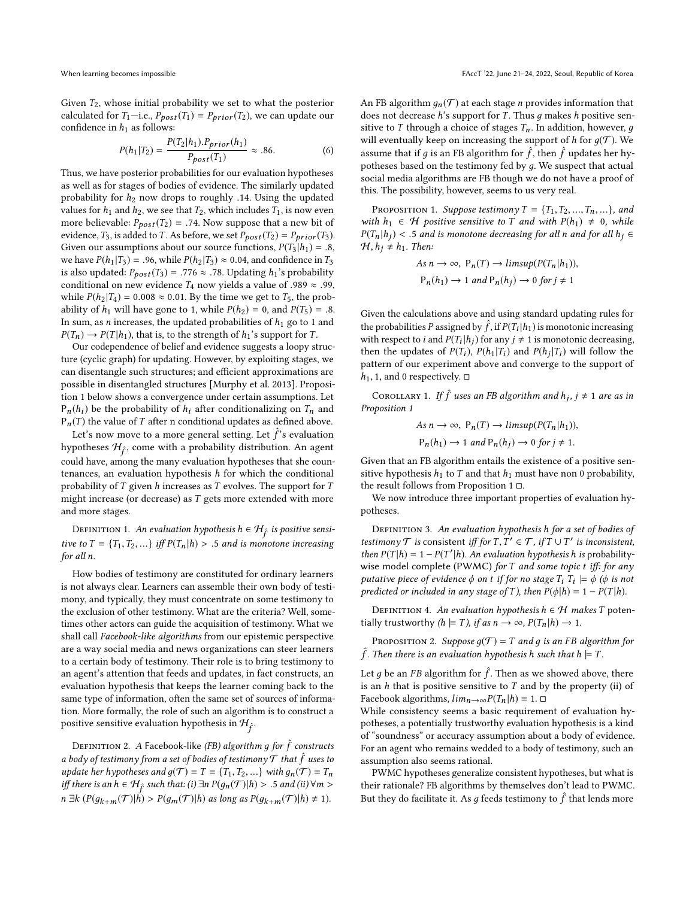Given  $T_2$ , whose initial probability we set to what the posterior calculated for  $T_1$ —i.e.,  $P_{post}(T_1) = P_{prior}(T_2)$ , we can update our confidence in  $h_1$  as follows:

$$
P(h_1|T_2) = \frac{P(T_2|h_1) \cdot P_{prior}(h_1)}{P_{post}(T_1)} \approx .86.
$$
 (6)  
Thus, we have posterior probabilities for our evaluation hypotheses

as well as for stages of bodies of evidence. The similarly updated probability for  $h_2$  now drops to roughly .14. Using the updated values for  $h_1$  and  $h_2$ , we see that  $T_2$ , which includes  $T_1$ , is now even more believable:  $P_{post}(T_2) = .74$ . Now suppose that a new bit of evidence,  $T_3$ , is added to T. As before, we set  $P_{post}(T_2) = P_{prior}(T_3)$ . Given our assumptions about our source functions,  $P(T_3 | h_1) = .8$ , we have  $P(h_1 | T_3) = .96$ , while  $P(h_2 | T_3) \approx 0.04$ , and confidence in  $T_3$ is also updated:  $P_{post}(T_3) = .776 \approx .78$ . Updating  $h_1$ 's probability conditional on new evidence  $T_4$  now yields a value of .989  $\approx$  .99, while  $P(h_2 | T_4) = 0.008 \approx 0.01$ . By the time we get to  $T_5$ , the probability of  $h_1$  will have gone to 1, while  $P(h_2) = 0$ , and  $P(T_5) = .8$ . In sum, as *n* increases, the updated probabilities of  $h_1$  go to 1 and  $P(T_n) \rightarrow P(T | h_1)$ , that is, to the strength of  $h_1$ 's support for T.

Our codependence of belief and evidence suggests a loopy structure (cyclic graph) for updating. However, by exploiting stages, we can disentangle such structures; and efficient approximations are possible in disentangled structures [\[Murphy et al.](#page-8-7) [2013\]](#page-8-7). Proposition 1 below shows a convergence under certain assumptions. Let  $P_n(h_i)$  be the probability of  $h_i$  after conditionalizing on  $T_n$  and  $P_n(T)$  the value of T after n conditional updates as defined above.

Let's now move to a more general setting. Let  $\hat{f}$ 's evaluation<br>potheses  $\mathcal{H}$ , come with a probability distribution. An agent hypotheses  $\mathcal{H}_{\hat{r}}$ , come with a probability distribution. An agent could have, among the many evaluation hypotheses that she countenances, an evaluation hypothesis  $h$  for which the conditional probability of  $T$  given  $h$  increases as  $T$  evolves. The support for  $T$ might increase (or decrease) as T gets more extended with more and more stages.

DEFINITION 1. An evaluation hypothesis  $h \in \mathcal{H}_{\hat{f}}$  is positive sensitive to  $T = \{T_1, T_2, ...\}$  iff  $P(T_n | h) > .5$  and is monotone increasing for all n for all n.

How bodies of testimony are constituted for ordinary learners is not always clear. Learners can assemble their own body of testimony, and typically, they must concentrate on some testimony to the exclusion of other testimony. What are the criteria? Well, sometimes other actors can guide the acquisition of testimony. What we shall call Facebook-like algorithms from our epistemic perspective are a way social media and news organizations can steer learners to a certain body of testimony. Their role is to bring testimony to an agent's attention that feeds and updates, in fact constructs, an evaluation hypothesis that keeps the learner coming back to the same type of information, often the same set of sources of information. More formally, the role of such an algorithm is to construct a positive sensitive evaluation hypothesis in  $\mathcal{H}_{\hat{r}}$ .

DEFINITION 2. A Facebook-like *(FB) algorithm g for*  $\hat{f}$  *constructs* a body of testimony from a set of bodies of testimony  $\mathcal T$  that  $\hat f$  uses to undate her hypotheses and  $a(\mathcal T) = T - T$ .  $T_2$  with  $a(\mathcal T) = T$ update her hypotheses and  $g(\mathcal{T}) = T = \{T_1, T_2, ...\}$  with  $g_n(\mathcal{T}) = T_n$ iff there is an  $h \in H$ <sup>s</sup> such that: (i) ∃n  $P(g_n(\mathcal{T})|h) > .5$  and (ii)  $\forall m >$ <br> $\exists l \in \mathcal{L}(\mathcal{L}(\mathcal{T})) \cup \mathcal{L}(\mathcal{T}(\mathcal{T}))$  $n \exists k \ (P(g_{k+m}(\mathcal{T})|\vec{h}) > P(g_m(\mathcal{T})|h) \text{ as long as } P(g_{k+m}(\mathcal{T})|h) \neq 1).$ 

f<br>S

An FB algorithm  $g_n(\mathcal{T})$  at each stage *n* provides information that does not decrease h's support for T. Thus  $q$  makes h positive sensitive to T through a choice of stages  $T_n$ . In addition, however, q will eventually keep on increasing the support of h for  $q(\mathcal{T})$ . We assume that if g is an FB algorithm for  $\hat{f}$ , then  $\hat{f}$  updates her hy-<br>notheres hered on the testimony fed by g. We suspect that actual potheses based on the testimony fed by д. We suspect that actual social media algorithms are FB though we do not have a proof of this. The possibility, however, seems to us very real.

<span id="page-2-0"></span>PROPOSITION 1. Suppose testimony  $T = \{T_1, T_2, ..., T_n, ...\}$ , and with  $h_1 \in \mathcal{H}$  positive sensitive to T and with  $P(h_1) \neq 0$ , while  $P(T_n | h_j)$  < .5 and is monotone decreasing for all n and for all  $h_j \in$  $H, h_j \neq h_1$ . Then:

As 
$$
n \to \infty
$$
,  $P_n(T) \to limsup(P(T_n|h_1)),$   
 $P_n(h_1) \to 1$  and  $P_n(h_j) \to 0$  for  $j \neq 1$ 

Given the calculations above and using standard updating rules for the probabilities P assigned by  $\hat{f}$ , if  $P(T_i|h_1)$  is monotonic increasing<br>with respect to i and  $P(T_i|h_1)$  for any  $i + 1$  is monotonic decreasing with respect to *i* and  $P(T_i | h_j)$  for any  $j \neq 1$  is monotonic decreasing,<br>then the undates of  $P(T_i)$ ,  $P(h_i | T_i)$  and  $P(h_i | T_i)$  will follow the then the updates of  $P(T_i)$ ,  $P(h_1 | T_i)$  and  $P(h_j | T_i)$  will follow the pattern of our experiment above and converge to the support of pattern of our experiment above and converge to the support of  $h_1$ , 1, and 0 respectively.  $\square$ 

COROLLARY 1. If  $\hat{f}$  uses an FB algorithm and  $h_j$ ,  $j \neq 1$  are as in Proposition [1](#page-2-0)

As 
$$
n \to \infty
$$
,  $P_n(T) \to limsup(P(T_n|h_1)),$   
 $P_n(h_1) \to 1$  and  $P_n(h_j) \to 0$  for  $j \neq 1$ .

Given that an FB algorithm entails the existence of a positive sensitive hypothesis  $h_1$  to T and that  $h_1$  must have non 0 probability, the result follows from Proposition [1](#page-2-0) □.

We now introduce three important properties of evaluation hypotheses.

DEFINITION 3. An evaluation hypothesis h for a set of bodies of testimony  $\mathcal T$  is consistent iff for  $T, T' \in \mathcal T$ , if  $T \cup T'$  is inconsistent,<br>then  $P(T|h) = 1 - P(T'|h)$  an evaluation hypothesis h is probabilitythen  $P(T|h) = 1 - P(T'|h)$ . An evaluation hypothesis h is probability-<br>wise model complete (PWMC) for T and some tonic t iff; for any wise model complete (PWMC) for  $T$  and some topic  $t$  iff: for any putative piece of evidence  $\phi$  on t if for no stage  $T_i$   $T_i \models \phi$  ( $\phi$  is not<br>predicted or included in any stage of T) then  $P(\phi | h) = 1 - P(T|h)$ predicted or included in any stage of T), then  $P(\phi|h) = 1 - P(T|h)$ .

DEFINITION 4. An evaluation hypothesis  $h \in \mathcal{H}$  makes T potentially trustworthy  $(h \models T)$ , if as  $n \rightarrow \infty$ ,  $P(T_n | h) \rightarrow 1$ .

PROPOSITION 2. Suppose  $g(\mathcal{T}) = T$  and g is an FB algorithm for f. Then there is an evaluation hypothesis h such that  $h \models T$ .

Let g be an FB algorithm for  $\hat{f}$ . Then as we showed above, there is an h that is positive sensitive to T and by the property (ii) of is an  $h$  that is positive sensitive to  $T$  and by the property (ii) of Facebook algorithms,  $lim_{n\to\infty} P(T_n | h) = 1$ . □

While consistency seems a basic requirement of evaluation hypotheses, a potentially trustworthy evaluation hypothesis is a kind of "soundness" or accuracy assumption about a body of evidence. For an agent who remains wedded to a body of testimony, such an assumption also seems rational.

PWMC hypotheses generalize consistent hypotheses, but what is their rationale? FB algorithms by themselves don't lead to PWMC. But they do facilitate it. As g feeds testimony to  $\hat{f}$  that lends more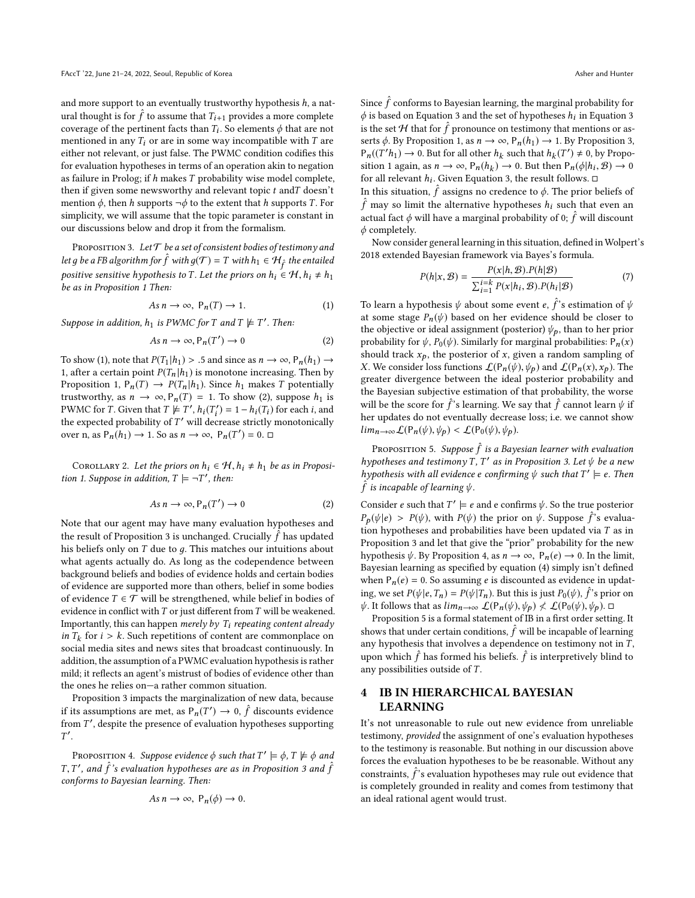and more support to an eventually trustworthy hypothesis  $h$ , a natural thought is for  $\hat{f}$  to assume that  $T_{i+1}$  provides a more complete<br>coverage of the pertinent focts than  $T_i$ . So elements  $\phi$  that are not coverage of the pertinent facts than  $T_i$ . So elements  $\phi$  that are not mentioned in any  $T_i$  or are in some way incompatible with  $T_i$  are mentioned in any  $T_i$  or are in some way incompatible with  $T$  are either not relevant, or just false. The PWMC condition codifies this for evaluation hypotheses in terms of an operation akin to negation as failure in Prolog; if h makes T probability wise model complete, then if given some newsworthy and relevant topic  $t$  and  $T$  doesn't mention  $\phi$ , then h supports  $\neg \phi$  to the extent that h supports T. For simplicity, we will assume that the topic parameter is constant in our discussions below and drop it from the formalism.

<span id="page-3-1"></span>PROPOSITION 3. Let  $\mathcal T$  be a set of consistent bodies of testimony and let g be a FB algorithm for  $\hat{f}$  with  $g(\mathcal{T}) = T$  with  $h_1 \in \mathcal{H}_{\hat{f}}$  the entailed positive sensitive hypothesis to T. Let the priors on  $h_i \in \mathcal{H}, h_i \neq h_1$ <br>be as in Proposition 1 Then: be as in Proposition [1](#page-2-0) Then:

$$
As n \to \infty, P_n(T) \to 1.
$$
 (1)

Suppose in addition,  $h_1$  is PWMC for T and T  $\not\models T'$ . Then:

$$
As n \to \infty, P_n(T') \to 0 \tag{2}
$$

To show (1), note that  $P(T_1 | h_1) > .5$  and since as  $n \to \infty$ ,  $P_n(h_1) \to$ 1, after a certain point  $P(T_n | h_1)$  is monotone increasing. Then by Proposition [1,](#page-2-0)  $P_n(T) \rightarrow P(T_n | h_1)$ . Since  $h_1$  makes T potentially trustworthy, as  $n \to \infty$ ,  $P_n(T) = 1$ . To show (2), suppose  $h_1$  is PWMC for T. Given that  $T \not\models T'$ ,  $h_i(T'_i) = 1 - h_i(T_i)$  for each *i*, and the expected probability of T' will decrease strictly monotonically the expected probability of T' will decrease strictly monotonically<br>  $\alpha$  as  $P(h_1) \rightarrow 1$ , So as  $n \rightarrow \infty$ ,  $P(T') = 0$ ,  $\Box$ over n, as  $P_n(h_1) \to 1$ . So as  $n \to \infty$ ,  $P_n(T') = 0$ .  $\Box$ 

<span id="page-3-4"></span>COROLLARY 2. Let the priors on  $h_i \in \mathcal{H}, h_i \neq h_1$  be as in Proposi-tion [1.](#page-2-0) Suppose in addition,  $T \models \neg T'$ , then:

$$
As n \to \infty, P_n(T') \to 0 \tag{2}
$$

Note that our agent may have many evaluation hypotheses and the result of Proposition [3](#page-3-1) is unchanged. Crucially  $\hat{f}$  has updated bis beliefs only on  $T$  due to a. This matches our intuitions about his beliefs only on  $T$  due to  $g$ . This matches our intuitions about what agents actually do. As long as the codependence between background beliefs and bodies of evidence holds and certain bodies of evidence are supported more than others, belief in some bodies of evidence  $T \in \mathcal{T}$  will be strengthened, while belief in bodies of evidence in conflict with  $T$  or just different from  $T$  will be weakened. Importantly, this can happen merely by  $T_i$  repeating content already in  $T_k$  for  $i > k$ . Such repetitions of content are commonplace on social media sites and news sites that broadcast continuously. In social media sites and news sites that broadcast continuously. In addition, the assumption of a PWMC evaluation hypothesis is rather mild; it reflects an agent's mistrust of bodies of evidence other than the ones he relies on—a rather common situation.

Proposition [3](#page-3-1) impacts the marginalization of new data, because if its assumptions are met, as  $P_n(T') \to 0$ ,  $\hat{f}$  discounts evidence<br>from  $T'$  denite the presence of evaluation hypotheses supporting from  $T'$ , despite the presence of evaluation hypotheses supporting  $T'$ ′ .

<span id="page-3-2"></span>PROPOSITION 4. Suppose evidence  $\phi$  such that  $T' \models \phi, T \not\models \phi$  and  $\hat{f}'$  and  $\hat{f}'$  and  $\hat{f}'$ conforms to Bayesian learning. Then: f and  $\hat{f}$ 's evaluation hypotheses are as in Proposition [3](#page-3-1) and  $\hat{f}$ <br>forms to Bayesian learning Then:

$$
As n \to \infty, P_n(\phi) \to 0.
$$

Since  $\hat{f}$  conforms to Bayesian learning, the marginal probability for  $\phi$  is based on Equation 3 and the set of bypotheses  $h_i$  in Equation 3.  $\phi$  is based on Equation [3](#page-1-1) and the set of hypotheses  $h_i$  in Equation 3 is the set H that for  $\hat{f}$  pronounce on testimony that mentions or as-<br>setted By Proposition 1, as  $n \to \infty$ , B  $(h_1) \to 1$ , By Proposition 3. serts  $\phi$ . By Proposition [1,](#page-2-0) as  $n \to \infty$ ,  $P_n(h_1) \to 1$ . By Proposition [3,](#page-3-1)  $P_n((T'h_1) \to 0$ . But for all other  $h_k$  such that  $h_k(T') \neq 0$ , by Propo-<br>sition 1 again as  $n \to \infty$   $R_n(h_1) \to 0$ . But then  $R_n(h_1, R) \to 0$ sition [1](#page-2-0) again, as  $n \to \infty$ ,  $P_n(h_k) \to 0$ . But then  $P_n(\phi|h_i, \mathcal{B}) \to 0$ <br>for all relevant *h*. Given Equation 3, the result follows  $\Box$ for all relevant  $h_i$ . Given Equation [3,](#page-1-1) the result follows.  $\Box$ 

In this situation,  $\hat{f}$  assigns no credence to  $\phi$ . The prior beliefs of  $\hat{f}$  may so limit the alternative hypotheses  $h$ , such that sympan  $\hat{f}$  may so limit the alternative hypotheses  $h_i$  such that even an extual feet  $\hat{f}$  will have a magginal probability of 0.  $\hat{f}$  will discount actual fact  $\phi$  will have a marginal probability of 0;  $\hat{f}$  will discount  $\phi$  completely  $\phi$  completely.

Now consider general learning in this situation, defined in Wolpert's [2018](#page-9-1) extended Bayesian framework via Bayes's formula.

$$
P(h|x, \mathcal{B}) = \frac{P(x|h, \mathcal{B}).P(h|\mathcal{B})}{\sum_{i=1}^{i=k} P(x|h_i, \mathcal{B}).P(h_i|\mathcal{B})}
$$
(7)

To learn a hypothesis  $\psi$  about some event  $e, \hat{f}$ 's estimation of  $\psi$  at some stage  $P_g(\psi)$  based on her evidence should be closer to at some stage  $P_n(\psi)$  based on her evidence should be closer to the objective or ideal assignment (posterior)  $\psi_p$ , than to her prior probability for  $\psi$ ,  $P_0(\psi)$ . Similarly for marginal probabilities:  $P_n(x)$ should track  $x_p$ , the posterior of x, given a random sampling of X. We consider loss functions  $\mathcal{L}(P_n(\psi), \psi_p)$  and  $\mathcal{L}(P_n(x), x_p)$ . The greater divergence between the ideal posterior probability and the Bayesian subjective estimation of that probability, the worse will be the score for  $\hat{f}$ 's learning. We say that  $\hat{f}$  cannot learn  $\psi$  if her undates do not eventually decrease loss; i.e. we cannot show her updates do not eventually decrease loss; i.e. we cannot show  $\lim_{n\to\infty}\mathcal{L}(\mathsf{P}_n(\psi),\psi_p)<\mathcal{L}(\mathsf{P}_0(\psi),\psi_p).$ 

<span id="page-3-3"></span>PROPOSITION 5. Suppose  $\hat{f}$  is a Bayesian learner with evaluation<br>potheses and testimony T. T', as in Proposition 3. Let the he a new hypotheses and testimony T, T' as in Proposition [3.](#page-3-1) Let  $\psi$  be a new<br>hypothesis with all evidence e confirming  $\psi$  such that  $T' \models e$ . Then hypothesis with all evidence e confirming  $\psi$  such that  $T' \models e$ . Then  $\hat{f}$  is incapable of learning  $\psi$  $\hat{f}$  is incapable of learning  $\psi$ .

Consider e such that  $T' \models e$  and e confirms  $\psi$ . So the true posterior  $P_p(\psi|e) > P(\psi)$ , with  $P(\psi)$  the prior on  $\psi$ . Suppose  $\hat{f}$ 's evaluation hypotheses and probabilities have been undated via T as in tion hypotheses and probabilities have been updated via  $T$  as in Proposition [3](#page-3-1) and let that give the "prior" probability for the new hypothesis  $\psi$ . By Proposition [4,](#page-3-2) as  $n \to \infty$ ,  $P_n(e) \to 0$ . In the limit, Bayesian learning as specified by equation (4) simply isn't defined when  $P_n(e) = 0$ . So assuming *e* is discounted as evidence in updating, we set  $P(\psi | e, T_n) = P(\psi | T_n)$ . But this is just  $P_0(\psi)$ ,  $\hat{f}$ 's prior on  $\psi$ . It follows that as  $\lim_{\epsilon \to 0} \int_{\epsilon}^{f(P_0(\psi), \psi_{\epsilon})} \phi \int_{\epsilon}^{f(P_0(\psi), \psi_{\epsilon})}$  $\psi$ . It follows that as  $\lim_{n\to\infty}\mathcal{L}(\mathsf{P}_n(\psi),\psi_p)\n\leq\mathcal{L}(\mathsf{P}_0(\psi),\psi_p).$ 

Proposition [5](#page-3-3) is a formal statement of IB in a first order setting. It shows that under certain conditions,  $\hat{f}$  will be incapable of learning<br>any hypothesis that involves a dependence on testimony not in  $T$ any hypothesis that involves a dependence on testimony not in  $T$ , upon which  $\hat{f}$  has formed his beliefs.  $\hat{f}$  is interpretively blind to any possibilities outside of T.

# <span id="page-3-0"></span>4 IB IN HIERARCHICAL BAYESIAN LEARNING

It's not unreasonable to rule out new evidence from unreliable testimony, provided the assignment of one's evaluation hypotheses to the testimony is reasonable. But nothing in our discussion above forces the evaluation hypotheses to be be reasonable. Without any constraints,  $\hat{f}$ 's evaluation hypotheses may rule out evidence that<br>is completely grounded in reality and comes from testimony that is completely grounded in reality and comes from testimony that an ideal rational agent would trust.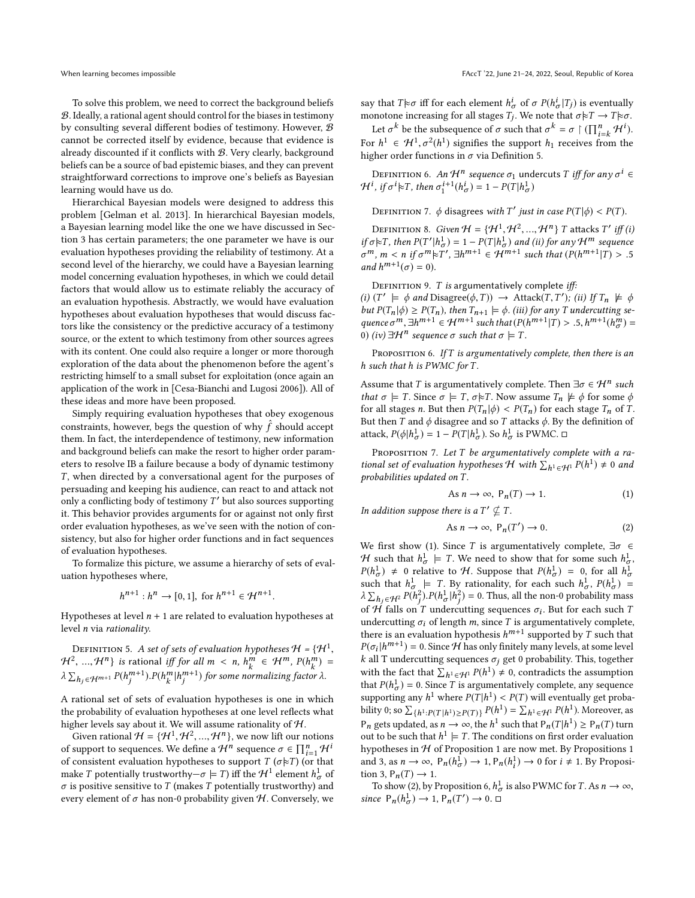To solve this problem, we need to correct the background beliefs B. Ideally, a rational agent should control for the biases in testimony by consulting several different bodies of testimony. However, B cannot be corrected itself by evidence, because that evidence is already discounted if it conflicts with B. Very clearly, background beliefs can be a source of bad epistemic biases, and they can prevent straightforward corrections to improve one's beliefs as Bayesian learning would have us do.

Hierarchical Bayesian models were designed to address this problem [\[Gelman et al.](#page-8-1) [2013\]](#page-8-1). In hierarchical Bayesian models, a Bayesian learning model like the one we have discussed in Section [3](#page-1-0) has certain parameters; the one parameter we have is our evaluation hypotheses providing the reliability of testimony. At a second level of the hierarchy, we could have a Bayesian learning model concerning evaluation hypotheses, in which we could detail factors that would allow us to estimate reliably the accuracy of an evaluation hypothesis. Abstractly, we would have evaluation hypotheses about evaluation hypotheses that would discuss factors like the consistency or the predictive accuracy of a testimony source, or the extent to which testimony from other sources agrees with its content. One could also require a longer or more thorough exploration of the data about the phenomenon before the agent's restricting himself to a small subset for exploitation (once again an application of the work in [\[Cesa-Bianchi and Lugosi 2006\]](#page-8-8)). All of these ideas and more have been proposed.

Simply requiring evaluation hypotheses that obey exogenous constraints, however, begs the question of why  $\hat{f}$  should accept<br>them. In fact, the interdependence of testimony, new information them. In fact, the interdependence of testimony, new information and background beliefs can make the resort to higher order parameters to resolve IB a failure because a body of dynamic testimony  $T$ , when directed by a conversational agent for the purposes of persuading and keeping his audience, can react to and attack not only a conflicting body of testimony T' but also sources supporting<br>it. This behavior provides arguments for or against not only first it. This behavior provides arguments for or against not only first order evaluation hypotheses, as we've seen with the notion of consistency, but also for higher order functions and in fact sequences of evaluation hypotheses.

To formalize this picture, we assume a hierarchy of sets of evaluation hypotheses where,

$$
h^{n+1}: h^n \to [0,1], \text{ for } h^{n+1} \in \mathcal{H}^{n+1}
$$

Hypotheses at level  $n + 1$  are related to evaluation hypotheses at level n via rationality.

<span id="page-4-0"></span>DEFINITION 5. A set of sets of evaluation hypotheses  $\mathcal{H} = \{ \mathcal{H}^1,$  $\mathcal{H}^2$ , ...,  $\mathcal{H}^n$ } is rational iff for all  $m < n$ ,  $h_k^m \in \mathcal{H}^m$ ,  $P(h_k^m) =$ <br> $\sum_{k=0}^{n} P(l_m^m + 1) P(l_m^m + 1) P(l_m^m + 1) P(l_m^m + 1) P(l_m^m + 1) P(l_m^m + 1) P(l_m^m + 1) P(l_m^m + 1) P(l_m^m + 1) P(l_m^m + 1) P(l_m^m + 1) P(l_m^m + 1) P(l_m^m + 1) P(l_m^m$ ormalizing factor  $\lambda \sum_{h_j \in \mathcal{H}^{m+1}} P(h_j^{m+1}). P(h_k^m | h_j^{m+1})$  for some normalizing factor  $\lambda$ . j j

A rational set of sets of evaluation hypotheses is one in which the probability of evaluation hypotheses at one level reflects what higher levels say about it. We will assume rationality of H.

Given rational  $\mathcal{H} = {\{\mathcal{H}^1, \mathcal{H}^2, ..., \mathcal{H}^n\}}$ , we now lift our notions<br>support to sequences We define a  $\mathcal{H}^n$  sequence  $\sigma \in \Pi^n$ .  $\mathcal{H}^i$ of support to sequences. We define a H<sup>n</sup> sequence σ ∈  $\prod_{i=1}^{n}$  H<sup>i</sup>  $\prod_{i=1}^{n}$ of consistent evaluation hypotheses to support  $T(\sigma \succeq T)$  (or that make T potentially trustworthy  $-\sigma \models T$ ) iff the  $\mathcal{H}^1$  element  $h^1_{\sigma}$  of  $\sigma$  is positive sensitive to T (makes T potentially trustworthy) and  $\sigma$  is positive sensitive to T (makes T potentially trustworthy) and every element of  $\sigma$  has non-0 probability given  $H$ . Conversely, we say that  $T \models \sigma$  iff for each element  $h^i_{\sigma}$  of  $\sigma P(h^i_{\sigma} | T_j)$  is eventually monotone increasing for all stages  $T_i$ . We note that  $\sigma \models T \rightarrow T \models \sigma$ . monotone increasing for all stages  $T_j$ . We note that  $\sigma \nvDash T \rightarrow T \nvDash \sigma$ .

Let  $\sigma^k$  be the subsequence of  $\sigma$  such that  $\sigma^k = \sigma \upharpoonright (\prod_{i=k}^n \mathcal{H}^i)$ .<br>  $\Gamma h^1 \in \mathcal{H}^1$ ,  $\sigma^2(h^1)$  signifies the support  $h_1$  receives from the For  $h^1 \in \mathcal{H}^1$ ,  $\sigma^2(h^1)$  signifies the support  $h_1$  receives from the higher order functions in  $\sigma$  via Definition 5 higher order functions in  $\sigma$  via Definition [5.](#page-4-0)

DEFINITION 6. An  $\mathcal{H}^n$  sequence σ<sub>1</sub> undercuts *T* iff for any σ<sup>i</sup> ∈<br>i if σ<sup>i</sup> NT, then σ<sup>i+1</sup>(h<sup>i</sup>) – 1 – P(T|h<sup>1</sup>)  $\mathcal{H}^i$ , if  $\sigma^i \models T$ , then  $\sigma_1^{i+1}(h_\sigma^i) = 1 - P(T|h_\sigma^1)$ 

DEFINITION 7.  $\phi$  disagrees with T' just in case  $P(T|\phi) < P(T)$ .

DEFINITION 8. Given  $H = \{H^1, H^2, ..., H^n\}$  T attacks  $T'$  iff (i)<br> $\tau \sim T$ , then  $P(T'|h^1) = 1 - P(T|h^1)$  and (ii) for any  $H^m$  sequence if  $\sigma \approx T$ , then  $P(T'|h_{\sigma}^1) = 1 - P(T|h_{\sigma}^1)$  and (ii) for any  $\mathcal{H}^m$  sequence<br> $\sigma^m$ ,  $m \ge n$  if  $\sigma^m \sim T'$ ,  $\exists h^{m+1} \in \mathcal{H}^{m+1}$  such that  $(P(h^{m+1}|T)) \le 5$  $m, m < n$  if  $\sigma^{m} \nvert F'$ ,  $\exists h^{m+1} \in \mathcal{H}^{m+1}$  such that  $(P(h^{m+1} | T) > .5$ <br>nd  $h^{m+1}(\sigma) = 0$ and  $h^{m+1}(\sigma) = 0$ ).

DEFINITION 9. T is argumentatively complete iff:

(i)  $(T' \models \phi$  and Disagree( $\phi$ , T))  $\rightarrow$  Attack( $(T, T')$ ; (ii) If  $T_n \not\models \phi$ <br>but  $P(T \mid \phi) > P(T)$ , then  $T_{n-1} \models \phi$  (iii) for any T undergutting set but  $P(T_n | \phi) \geq P(T_n)$ , then  $T_{n+1} \models \phi$ . (iii) for any T undercutting sequence  $\sigma^{m}$ ,  $\exists h^{m+1} \in \mathcal{H}^{m+1}$  such that  $(P(h^{m+1}|\mathcal{T}) > .5, h^{m+1}(h_{\sigma}^{m}) =$ <br>(i)  $(iu)$   $\exists^{t} \mathcal{H}^{n}$  sequence  $\sigma$  such that  $\sigma \vdash \mathcal{T}$  $\overline{0}$ ) (*iv*) ∃*H*<sup>n</sup> sequence σ such that σ  $\models$  T.

<span id="page-4-1"></span>PROPOSITION 6. If  $T$  is argumentatively complete, then there is an h such that h is PWMC for T.

Assume that T is argumentatively complete. Then  $\exists \sigma \in \mathcal{H}^n$  such that  $\sigma \vdash T$  Since  $\sigma \vdash T$   $\sigma \vdash T$  Now assume  $T \not\models \phi$  for some  $\phi$ that  $\sigma \models T$ . Since  $\sigma \models T$ ,  $\sigma \not\models T$ . Now assume  $T_n \not\models \phi$  for some  $\phi$ for all stages *n*. But then  $P(T_n | \phi) < P(T_n)$  for each stage  $T_n$  of T. But then T and  $\phi$  disagree and so T attacks  $\phi$ . By the definition of attack,  $P(\phi | h_{\sigma}^1) = 1 - P(T | h_{\sigma}^1)$ . So  $h_{\sigma}^1$  is PWMC.  $\Box$ 

<span id="page-4-2"></span>PROPOSITION 7. Let T be argumentatively complete with a ra-<br>nal set of evaluation hypotheses H with  $\sum_{i=1}^{\infty} p(h^1) \neq 0$  and tional set of evaluation hypotheses H with  $\sum_{h^1 \in \mathcal{H}^1} P(h^1) \neq 0$  and<br>probabilities undated on T probabilities updated on T.

As 
$$
n \to \infty
$$
,  $P_n(T) \to 1$ . (1)

In addition suppose there is a T'  $\nsubseteq$  T.

As 
$$
n \to \infty
$$
,  $P_n(T') \to 0$ . (2)

We first show (1). Since T is argumentatively complete,  $\exists \sigma \in \mathcal{L}$ H such that  $h^1_{\sigma} \models T$ . We need to show that for some such  $h^1_{\sigma}$ ,  $p(h^1) \neq 0$  relative to H Suppose that  $p(h^1) = 0$  for all  $h^1$ .  $P(h_{\sigma}^1) \neq 0$  relative to H. Suppose that  $P(h_{\sigma}^1) = 0$ , for all  $h_{\sigma}^1$ <br>such that  $h^1 = T$ . By rationality for each such  $h^1 - P(h^1)$ such that  $h^1_{\sigma} = T$ . By rationality, for each such  $h^1_{\sigma}$ ,  $P(h^1_{\sigma}) =$ <br> $h \sum_{n=0}^{\infty} P(h^2) P(h^1 | h^2) = 0$ . Thus all the non-0 probability mass  $\sum_{h_j \in \mathcal{H}^2} P(h_j^2) \cdot P(h_{\sigma}^1 | h_j^2) = 0$ . Thus, all the non-0 probability mass  $\frac{\partial f}{\partial t}$  falls on T undercutting sequences  $\sigma_i$ . But for each such T<br>undercutting  $\sigma_i$  of length m since T is argumentatively complete undercutting  $\sigma_i$  of length m, since T is argumentatively complete, there is an evaluation hypothesis  $h^{m+1}$  supported by T such that  $P(a, |h^{m+1}) = 0$ . Since H has only finitely many levels at some level  $P(\sigma_i | h^{m+1}) = 0$ . Since H has only finitely many levels, at some level<br>k all T undercutting sequences  $\sigma_i$  get 0 probability. This together k all T undercutting sequences  $\sigma_j$  get 0 probability. This, together with the fact that  $\sum_{h^1 \in \mathcal{H}^1} P(h^1) \neq 0$ , contradicts the assumption<br>that  $P(h^1) = 0$ . Since *T* is a representatively complete only converges that  $P(h_{\sigma}^1) = 0$ . Since T is argumentatively complete, any sequence<br>supporting any  $h^1$  where  $P(T|h^1) \ge P(T)$  will eventually get probasupporting any  $h^1$  where  $P(T|h^1) < P(T)$  will eventually get proba-<br>bility 0: so  $\sum_{i=1}^{\infty} C_i$  and  $P(h^1) = \sum_{i=1}^{\infty} C_i P(h^1)$ . Moreover, as bility 0; so  $\sum_{\{h^1 : P(T | h^1) \ge P(T)\}} P(h^1) = \sum_{h^1 \in \mathcal{H}^1} P(h^1)$ . Moreover, as P<sub>n</sub> gets updated, as  $n \to \infty$ , the  $h^1$  such that  $P_n(T|h^1) \ge P_n(T)$  turn<br>out to be such that  $h^1 \vdash T$ . The conditions on first order evoluation out to be such that  $h^1 \models T$ . The conditions on first order evaluation<br>by potheses in H of Proposition 1 are now met. By Propositions 1 hypotheses in  $H$  of Proposition [1](#page-2-0) are now met. By Propositions 1 and [3,](#page-3-1) as  $n \to \infty$ ,  $P_n(h_{\sigma}^1) \to 1$ ,  $P_n(h_i^1) \to 0$  for  $i \neq 1$ . By Proposition 3,  $P_n(T) \to 1$ tion [3,](#page-3-1)  $P_n(T) \rightarrow 1$ .

To show (2), by Proposition [6,](#page-4-1)  $h^1_\sigma$  is also PWMC for T. As  $n \to \infty$ , since  $P_n(h_{\sigma}^1) \to 1, P_n(T') \to 0. \square$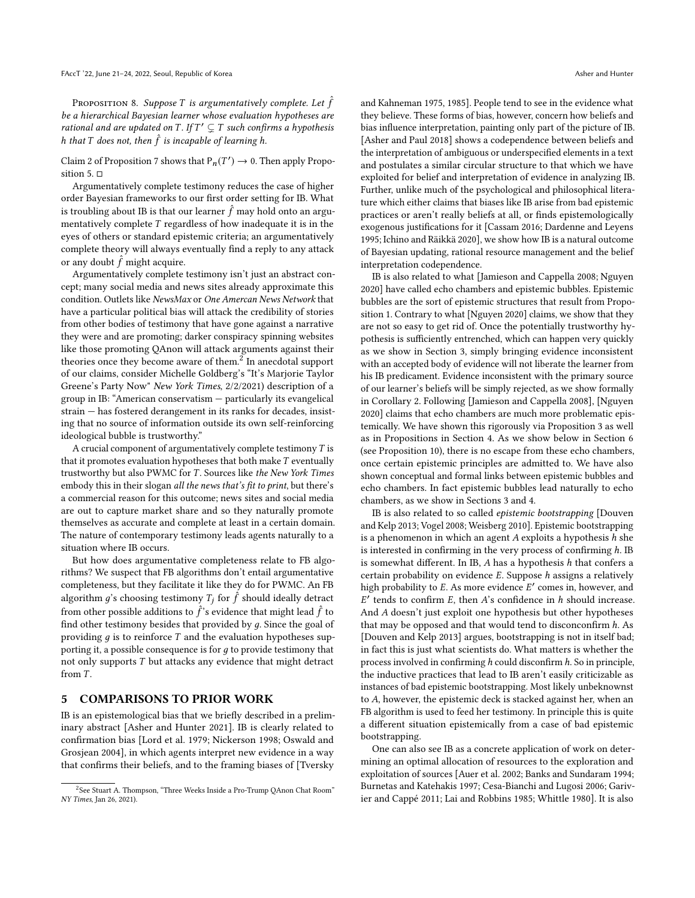<span id="page-5-1"></span>PROPOSITION 8. Suppose T is argumentatively complete. Let  $\hat{f}$ f be a hierarchical Bayesian learner whose evaluation hypotheses are rational and are updated on T. If  $T' \subsetneq T$  such confirms a hypothesis<br>h that T does not than  $\hat{f}$  is incapable of learning h h that T does not, then  $\hat{f}$  is incapable of learning h.

Claim 2 of Proposition [7](#page-4-2) shows that  $P_n(T') \to 0$ . Then apply Proposition 5 sition [5.](#page-3-3) □

Argumentatively complete testimony reduces the case of higher order Bayesian frameworks to our first order setting for IB. What is troubling about IB is that our learner  $\hat{f}$  may hold onto an argu-<br>mentatively complete  $T$  regardless of how inadequate it is in the mentatively complete T regardless of how inadequate it is in the eyes of others or standard epistemic criteria; an argumentatively complete theory will always eventually find a reply to any attack or any doubt  $\hat{f}$  might acquire.

Argumentatively complete testimony isn't just an abstract concept; many social media and news sites already approximate this condition. Outlets like NewsMax or One Amercan News Network that have a particular political bias will attack the credibility of stories from other bodies of testimony that have gone against a narrative they were and are promoting; darker conspiracy spinning websites like those promoting QAnon will attack arguments against their theories once they become aware of them.<sup>[2](#page-0-1)</sup> In anecdotal support of our claims, consider Michelle Goldberg's "It's Marjorie Taylor Greene's Party Now" New York Times, 2/2/2021) description of a group in IB: "American conservatism — particularly its evangelical strain — has fostered derangement in its ranks for decades, insisting that no source of information outside its own self-reinforcing ideological bubble is trustworthy."

A crucial component of argumentatively complete testimony  $T$  is that it promotes evaluation hypotheses that both make  $T$  eventually trustworthy but also PWMC for T. Sources like the New York Times embody this in their slogan all the news that's fit to print, but there's a commercial reason for this outcome; news sites and social media are out to capture market share and so they naturally promote themselves as accurate and complete at least in a certain domain. The nature of contemporary testimony leads agents naturally to a situation where IB occurs.

But how does argumentative completeness relate to FB algorithms? We suspect that FB algorithms don't entail argumentative completeness, but they facilitate it like they do for PWMC. An FB algorithm  $g$ 's choosing testimony  $T_j$  for  $\hat{f}$  should ideally detract from other possible additions to  $\hat{f}$ 's evidence that might lead  $\hat{f}$  to find other testimony besides that provided by a Since the goal of find other testimony besides that provided by  $q$ . Since the goal of providing  $q$  is to reinforce  $T$  and the evaluation hypotheses supporting it, a possible consequence is for  $q$  to provide testimony that not only supports T but attacks any evidence that might detract from T.

# <span id="page-5-0"></span>5 COMPARISONS TO PRIOR WORK

IB is an epistemological bias that we briefly described in a preliminary abstract [\[Asher and Hunter 2021\]](#page-8-9). IB is clearly related to confirmation bias [\[Lord et al.](#page-8-10) [1979;](#page-8-10) [Nickerson 1998;](#page-8-11) [Oswald and](#page-8-12) [Grosjean 2004\]](#page-8-12), in which agents interpret new evidence in a way that confirms their beliefs, and to the framing biases of [\[Tversky](#page-9-2)

[and Kahneman 1975,](#page-9-2) [1985\]](#page-9-3). People tend to see in the evidence what they believe. These forms of bias, however, concern how beliefs and bias influence interpretation, painting only part of the picture of IB. [\[Asher and Paul 2018\]](#page-8-13) shows a codependence between beliefs and the interpretation of ambiguous or underspecified elements in a text and postulates a similar circular structure to that which we have exploited for belief and interpretation of evidence in analyzing IB. Further, unlike much of the psychological and philosophical literature which either claims that biases like IB arise from bad epistemic practices or aren't really beliefs at all, or finds epistemologically exogenous justifications for it [\[Cassam 2016;](#page-8-14) [Dardenne and Leyens](#page-8-15) [1995;](#page-8-15) [Ichino and Räikkä 2020\]](#page-8-16), we show how IB is a natural outcome of Bayesian updating, rational resource management and the belief interpretation codependence.

IB is also related to what [\[Jamieson and Cappella 2008;](#page-8-17) [Nguyen](#page-8-18) [2020\]](#page-8-18) have called echo chambers and epistemic bubbles. Epistemic bubbles are the sort of epistemic structures that result from Proposition [1.](#page-2-0) Contrary to what [\[Nguyen 2020\]](#page-8-18) claims, we show that they are not so easy to get rid of. Once the potentially trustworthy hypothesis is sufficiently entrenched, which can happen very quickly as we show in Section [3,](#page-1-0) simply bringing evidence inconsistent with an accepted body of evidence will not liberate the learner from his IB predicament. Evidence inconsistent with the primary source of our learner's beliefs will be simply rejected, as we show formally in Corollary [2.](#page-3-4) Following [\[Jamieson and Cappella 2008\]](#page-8-17), [\[Nguyen](#page-8-18) [2020\]](#page-8-18) claims that echo chambers are much more problematic epistemically. We have shown this rigorously via Proposition [3](#page-3-1) as well as in Propositions in Section [4.](#page-3-0) As we show below in Section [6](#page-6-0) (see Proposition [10\)](#page-7-0), there is no escape from these echo chambers, once certain epistemic principles are admitted to. We have also shown conceptual and formal links between epistemic bubbles and echo chambers. In fact epistemic bubbles lead naturally to echo chambers, as we show in Sections [3](#page-1-0) and [4.](#page-3-0)

IB is also related to so called epistemic bootstrapping [\[Douven](#page-8-19) [and Kelp 2013;](#page-8-19) [Vogel 2008;](#page-9-4) [Weisberg 2010\]](#page-9-5). Epistemic bootstrapping is a phenomenon in which an agent  $A$  exploits a hypothesis  $h$  she is interested in confirming in the very process of confirming  $h$ . IB is somewhat different. In IB,  $A$  has a hypothesis  $h$  that confers a certain probability on evidence E. Suppose h assigns a relatively high probability to E. As more evidence  $E'$  comes in, however, and  $E'$  tends to confirm  $E$ , then  $A'$ s confidence in h should increase And A doesn't just exploit one hypothesis but other hypotheses<br>that may be opposed and that would tend to disconsonfirm h, As tends to confirm  $E$ , then  $A$ 's confidence in  $h$  should increase. that may be opposed and that would tend to disconconfirm h. As [\[Douven and Kelp 2013\]](#page-8-19) argues, bootstrapping is not in itself bad; in fact this is just what scientists do. What matters is whether the process involved in confirming h could disconfirm h. So in principle, the inductive practices that lead to IB aren't easily criticizable as instances of bad epistemic bootstrapping. Most likely unbeknownst to A, however, the epistemic deck is stacked against her, when an FB algorithm is used to feed her testimony. In principle this is quite a different situation epistemically from a case of bad epistemic bootstrapping.

One can also see IB as a concrete application of work on determining an optimal allocation of resources to the exploration and exploitation of sources [\[Auer et al.](#page-8-20) [2002;](#page-8-20) [Banks and Sundaram 1994;](#page-8-21) [Burnetas and Katehakis 1997;](#page-8-22) [Cesa-Bianchi and Lugosi 2006;](#page-8-8) [Gariv](#page-8-23)[ier and Cappé 2011;](#page-8-23) [Lai and Robbins 1985;](#page-8-24) [Whittle 1980\]](#page-9-6). It is also

 $^2$ See Stuart A. Thompson, "Three Weeks Inside a Pro-Trump OAnon Chat Room" NY Times[, Jan 26, 2021\).](#page-9-2)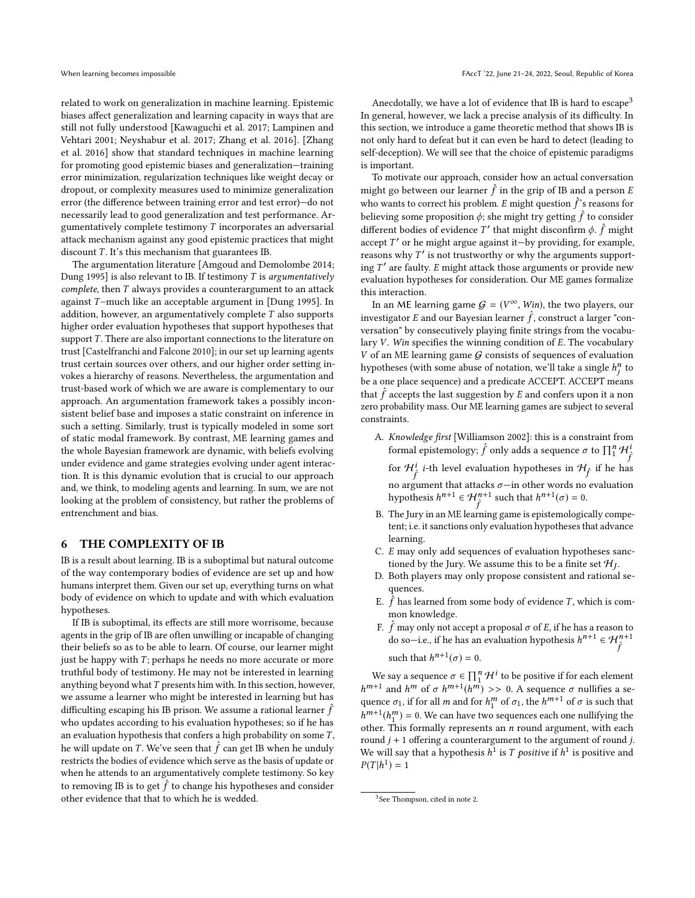related to work on generalization in machine learning. Epistemic biases affect generalization and learning capacity in ways that are still not fully understood [\[Kawaguchi et al.](#page-8-25) [2017;](#page-8-25) [Lampinen and](#page-8-3) [Vehtari 2001;](#page-8-3) [Neyshabur et al.](#page-8-26) [2017;](#page-8-26) [Zhang et al.](#page-9-7) [2016\]](#page-9-7). [\[Zhang](#page-9-7) [et al.](#page-9-7) [2016\]](#page-9-7) show that standard techniques in machine learning for promoting good epistemic biases and generalization—training error minimization, regularization techniques like weight decay or dropout, or complexity measures used to minimize generalization error (the difference between training error and test error)—do not necessarily lead to good generalization and test performance. Argumentatively complete testimony T incorporates an adversarial attack mechanism against any good epistemic practices that might discount  $T$ . It's this mechanism that guarantees IB.

The argumentation literature [\[Amgoud and Demolombe 2014;](#page-8-27) [Dung 1995\]](#page-8-28) is also relevant to IB. If testimony  $T$  is argumentatively complete, then T always provides a counterargument to an attack against  $T$ -much like an acceptable argument in [\[Dung 1995\]](#page-8-28). In addition, however, an argumentatively complete T also supports higher order evaluation hypotheses that support hypotheses that support  $T$ . There are also important connections to the literature on trust [\[Castelfranchi and Falcone 2010\]](#page-8-29); in our set up learning agents trust certain sources over others, and our higher order setting invokes a hierarchy of reasons. Nevertheless, the argumentation and trust-based work of which we are aware is complementary to our approach. An argumentation framework takes a possibly inconsistent belief base and imposes a static constraint on inference in such a setting. Similarly, trust is typically modeled in some sort of static modal framework. By contrast, ME learning games and the whole Bayesian framework are dynamic, with beliefs evolving under evidence and game strategies evolving under agent interaction. It is this dynamic evolution that is crucial to our approach and, we think, to modeling agents and learning. In sum, we are not looking at the problem of consistency, but rather the problems of entrenchment and bias.

#### <span id="page-6-0"></span>6 THE COMPLEXITY OF IB

IB is a result about learning. IB is a suboptimal but natural outcome of the way contemporary bodies of evidence are set up and how humans interpret them. Given our set up, everything turns on what body of evidence on which to update and with which evaluation hypotheses.

If IB is suboptimal, its effects are still more worrisome, because agents in the grip of IB are often unwilling or incapable of changing their beliefs so as to be able to learn. Of course, our learner might just be happy with  $T$ ; perhaps he needs no more accurate or more truthful body of testimony. He may not be interested in learning anything beyond what  $T$  presents him with. In this section, however, we assume a learner who might be interested in learning but has difficulting escaping his IB prison. We assume a rational learner  $\hat{f}$ who updates according to his evaluation hypotheses: so if he has an evaluation hypothesis that confers a high probability on some  $T$ , he will update on T. We've seen that  $\hat{f}$  can get IB when he unduly restricts the bodies of evidence which serve as the basis of undate or restricts the bodies of evidence which serve as the basis of update or when he attends to an argumentatively complete testimony. So key to removing IB is to get  $\hat{f}$  to change his hypotheses and consider other evidence that that to which he is wedded other evidence that that to which he is wedded.

Anecdotally, we have a lot of evidence that IB is hard to escape<sup>[3](#page-0-1)</sup> In general, however, we lack a precise analysis of its difficulty. In this section, we introduce a game theoretic method that shows IB is not only hard to defeat but it can even be hard to detect (leading to self-deception). We will see that the choice of epistemic paradigms is important.

To motivate our approach, consider how an actual conversation might go between our learner  $\hat{f}$  in the grip of IB and a person E who wants to correct his problem. E might question  $\hat{f}$ 's reasons for heliouing some proposition  $\hat{f}$  to the might true setting  $\hat{f}$  to consider believing some proposition  $\phi$ ; she might try getting  $\hat{f}$  to consider different bodies of oxidence  $T'$  that might disconfirm  $\phi$ ,  $\hat{f}$  might different bodies of evidence T' that might disconfirm  $\phi$ .  $\hat{f}$  might accent T' or be might argue against it—by providing for example  $\alpha$  accept  $T'$  or he might argue against it—by providing, for example, reasons why  $T'$  is not trustworthy or why the arguments supportreasons why  $T'$  is not trustworthy or why the arguments support-<br>ing  $T'$  are faulty. E might attack those arguments or provide new ing T' are faulty. E might attack those arguments or provide new<br>evaluation bypotheses for consideration. Our ME games formalize evaluation hypotheses for consideration. Our ME games formalize this interaction.

In an ME learning game  $G = (V^{\infty}, Win)$ , the two players, our particular E and our Baycain learner  $\hat{f}$  construct a larger "coninvestigator E and our Bayesian learner  $\hat{f}$ , construct a larger "con-<br>versation" by consecutively playing finite strings from the vocabuversation" by consecutively playing finite strings from the vocabulary  $V$ . Win specifies the winning condition of  $E$ . The vocabulary  $V$  of an ME learning game  $G$  consists of sequences of evaluation hypotheses (with some abuse of notation, we'll take a single  $h_j^n$  to  $h_j^n$  to  $h_j^n$  to  $h_j^n$  to  $h_j^n$  to  $h_j^n$  the set of  $h_j^n$  to  $h_j^n$  the set of  $h_j^n$  to  $h_j^n$  the set of  $h_j^n$  to  $h_j^n$  the set of  $h_j^n$  to  $h_j^n$  the s be a one place sequence) and a predicate ACCEPT. ACCEPT means that  $\hat{f}$  accepts the last suggestion by E and confers upon it a non<br>zero probability mass. Our ME learning games are subject to several zero probability mass. Our ME learning games are subject to several constraints.

A. Knowledge first [\[Williamson 2002\]](#page-9-8): this is a constraint from formal epistemology;  $\hat{f}$  only adds a sequence  $\sigma$  to  $\prod_{i=1}^{n} \mathcal{H}_{\hat{f}}^{i}$ 

for  $\mathcal{H}_f^i$  *i*-th level evaluation hypotheses in  $\mathcal{H}_f$  if he has no argument that attacks σ—in other words no evaluation<br>hypothesis  $h^{n+1} \in H^{n+1}$  such that  $h^{n+1}(\sigma) = 0$ hypothesis  $h^{n+1} \in \mathcal{H}_{\hat{f}}^{n+1}$  such that  $h^{n+1}(\sigma) = 0$ .

- B. The Jury in an ME learning game is epistemologically competent; i.e. it sanctions only evaluation hypotheses that advance learning.
- C. E may only add sequences of evaluation hypotheses sanctioned by the Jury. We assume this to be a finite set  $\mathcal{H}_J$ .<br>Both players may only propose consistent and rational
- D. Both players may only propose consistent and rational sequences.
- E.  $\hat{f}$  has learned from some body of evidence T, which is common knowledge.
- F.  $\hat{f}$  may only not accept a proposal  $\sigma$  of E, if he has a reason to  $\sigma$  os  $\sigma$ —i e, if he has an evaluation hypothesis  $h^{n+1} \in \mathcal{H}^{n+1}$ do so—i.e., if he has an evaluation hypothesis  $h^{n+1} \in \mathcal{H}_{\hat{f}}^{n+1}$ <sup>J</sup> such that  $h^{n+1}(\sigma) = 0$ .

We say a sequence  $\sigma \in \prod_{i=1}^{n} \mathcal{H}^{i}$  to be positive if for each element  $t+1$  and  $Lm$  of  $\sigma Lm+1$  ( $Lm$ )  $\rightarrow \infty$  0.14 assumes a multified a set quence  $\sigma_1$ , if for all m and for  $h_1^m$  of  $\sigma_1$ , the  $h^{m+1}$  of  $\sigma$  is such that  $h^{m+1}(h^m) = 0$ . We see hous true sequences age are solution that  $m+1$  and  $h^m$  of σ  $h^{m+1}(h^m)$  >> 0. A sequence σ nullifies a se-<br>wance σ if for all m and for  $h^m$  of σ the  $h^{m+1}$  of σ is such that other. This formally represents an *n* round argument, with each round  $i + 1$  offering a counterargument to the argument of round  $i$  $^{m+1}(h_1^m) = 0$ . We can have two sequences each one nullifying the ther. This formally represents an *n* round argument, with each round  $j + 1$  offering a counterargument to the argument of round j. We will say that a hypothesis  $h^1$  is *T* positive if  $h^1$  is positive and  $P(T|h^1) = 1$  $P(T|h^1) = 1$ 

<sup>&</sup>lt;sup>3</sup>See Thompson, cited in note 2.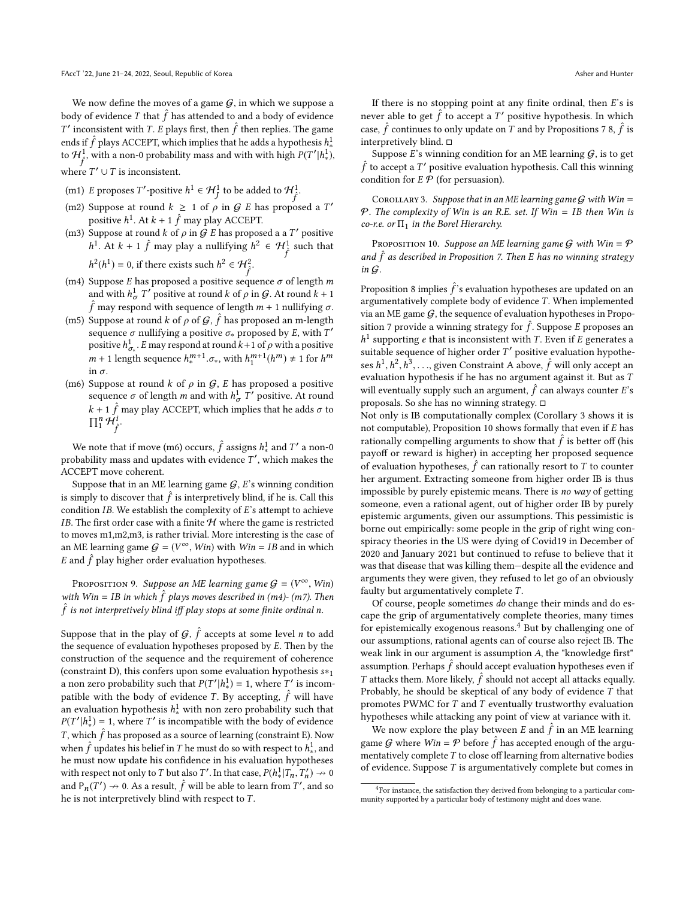We now define the moves of a game  $G$ , in which we suppose a body of evidence T that  $\hat{f}$  has attended to and a body of evidence  $T'$  inconsistent with  $T$ ,  $\hat{F}$  plays first, then  $\hat{f}$  then replies. The game ends if  $\hat{f}$  plays ACCEPT, which implies that he adds a hypothesis  $h^1$ ,<br>to  $\mathcal{H}^1$  with a non-0 probability more and with with high  $p(T'|h^1)$ ' inconsistent with T. E plays first, then  $\hat{f}$  then replies. The game to  $\mathcal{H}^1_f$ , with a non-0 probability mass and with with high  $P(T'|h^1_*)$ , where  $T' \cup T$  is inconsistent.

- (m1) *E* proposes  $T'$ -positive  $h^1 \in \mathcal{H}^1_J$  to be added to  $\mathcal{H}^1_f$ .
- (m2) Suppose at round  $k \geq 1$  of  $\rho$  in  $G$  E has proposed a T' positive  $h^1$ . At  $k + 1$   $\hat{f}$  may play ACCEPT.
- (m3) Suppose at round k of  $\rho$  in  $\mathcal{G}$  E has proposed a a T' positive <sup>1</sup>. At  $k + 1$   $\hat{f}$  may play a nullifying  $h^2 \in \mathcal{H}^1_{\hat{f}}$  such that <sup>J</sup>

 $2(h^1) = 0$ , if there exists such  $h^2 \in \mathcal{H}_{\hat{f}}^2$ .

- (m4) Suppose E has proposed a positive sequence  $\sigma$  of length m<br>and with  $h^1$  T' positive at round k of 0 in G. At round  $k + 1$ and with  $h^1_{\sigma} T'$  positive at round k of  $\rho$  in  $\mathcal G$ . At round  $k + 1$  $\hat{f}$  may respond with sequence of length  $m + 1$  nullifying  $\sigma$ .<br>Suppose at round  $k$  of  $\sigma$  of  $G$ ,  $\hat{f}$  beg proposed on m longth
- (m5) Suppose at round k of  $\rho$  of  $\mathcal{G}, \hat{f}$  has proposed an m-length sequence  $\sigma$  nullifying a positive  $\sigma_*$  proposed by E, with  $T'$ <br>positive  $h^1$  F may respond at round  $k+1$  of o with a positive positive  $h_{\sigma}^1$ . E may respond at round  $k+1$  of  $\rho$  with a positive  $m+1$  levels assumes  $h^{m+1}$   $\tau$ , with  $h^{m+1}(h^m)$  + 1 for  $h^m$ positive  $n_{\sigma_*}$ . E hay respond a round  $k+1$  or  $p$  which positive<br>  $m + 1$  length sequence  $h_*^{m+1} \cdot \sigma_*$ , with  $h_1^{m+1}(h^m) \neq 1$  for  $h^m$ in  $\sigma$ .
- (m6) Suppose at round k of  $\rho$  in  $G$ , E has proposed a positive sequence  $\sigma$  of length m and with  $h^1_\sigma T'$  positive. At round  $k + 1$   $\hat{f}$  may play ACCEPT, which implies that he adds  $\sigma$  to  $\prod^{n} \mathcal{H}^{i}$  $\prod_1^n \mathcal{H}_{\hat{r}}^i$ .

We note that if move (m6) occurs,  $\hat{f}$  assigns  $h^1_*$  and  $T'$  a non-0<br>shability mass and undates with evidence  $T'$  which makes the probability mass and updates with evidence  $T'$ , which makes the  $ACCEPT$  move coherent ACCEPT move coherent.

f<br>S

Suppose that in an ME learning game  $G$ , E's winning condition is simply to discover that  $\hat{f}$  is interpretively blind, if he is. Call this condition IB We establish the complexity of  $F$ 's attempt to achieve condition  $IB$ . We establish the complexity of  $E$ 's attempt to achieve IB. The first order case with a finite  $H$  where the game is restricted to moves m1,m2,m3, is rather trivial. More interesting is the case of an ME learning game  $G = (V^{\infty}, Win)$  with  $Win = IB$  and in which E and  $\hat{f}$  play higher order evaluation hypotheses.

PROPOSITION 9. Suppose an ME learning game  $G = (V^{\infty}, Win)$ <br>th Win – IB in which  $\hat{f}$  plays moves described in (m4), (m7). Than with Win = IB in which  $\hat{f}$  plays moves described in (m4)- (m7). Then  $\hat{f}$  is not interpretively blind iff play stops at some finite ordinal p  $\hat{f}$  is not interpretively blind iff play stops at some finite ordinal n.

Suppose that in the play of  $G$ ,  $\hat{f}$  accepts at some level *n* to add the sequence of evolution hypotheses proposed by *F*. Then by the the sequence of evaluation hypotheses proposed by E. Then by the construction of the sequence and the requirement of coherence (constraint D), this confers upon some evaluation hypothesis <sup>s</sup>∗<sup>1</sup> a non zero probability such that  $P(T'|h^1_*) = 1$ , where T' is incom-<br>notible with the body of quidance T By accorting  $\hat{f}$  will have patible with the body of evidence T. By accepting,  $\hat{f}$  will have an evaluation hypothesis  $h^1$  with non zero probability such that  $P(T'|h^1) = 1$ , where T' is incompatible with the hody of evidence  $P(T'|h^1_x) = 1$ , where T' is incompatible with the body of evidence<br>T, which  $\hat{f}$  has proposed as a source of logning (constraint E). Now T, which  $\hat{f}$  has proposed as a source of learning (constraint E). Now when  $\hat{f}$  undates his belief in T be must do so with respect to  $h^1$  and when  $\hat{f}$  updates his belief in T he must do so with respect to  $h^1$ , and he must now undate his confidence in his evaluation hypotheses he must now update his confidence in his evaluation hypotheses with respect not only to T but also T'. In that case,  $P(h^1_*|T_n, T_n') \rightarrow 0$ <br>and B  $(T') \ge 0$ , As a result,  $\hat{F}$  will be able to learn from T', and so and  $P_n(T') \nrightarrow 0$ . As a result,  $\hat{f}$  will be able to learn from T', and so be is not interpretively blind with respect to  $T$ he is not interpretively blind with respect to  $T$ .

If there is no stopping point at any finite ordinal, then  $E$ 's is never able to get  $\hat{f}$  to accept a T' positive hypothesis. In which case,  $\hat{f}$  continues to only update on T and by Propositions [7](#page-4-2) [8,](#page-5-1)  $\hat{f}$  is interpretively blind.  $\Box$ 

Suppose  $E$ 's winning condition for an ME learning  $G$ , is to get  $\hat{f}$  to accept a  $T'$  positive evaluation hypothesis. Call this winning condition for  $E \mathcal{P}$  (for persuasion).

<span id="page-7-1"></span>COROLLARY 3. Suppose that in an ME learning game  $G$  with Win = P. The complexity of Win is an R.E. set. If Win = IB then Win is co-r.e. or  $\Pi_1$  in the Borel Hierarchy.

<span id="page-7-0"></span>PROPOSITION 10. Suppose an ME learning game  $G$  with  $Win = P$ and  $\hat{f}$  as described in Proposition [7.](#page-4-2) Then E has no winning strategy in  $G$ in G.

Proposition [8](#page-5-1) implies  $\hat{f}$ 's evaluation hypotheses are updated on an argumentatively complete body of evidence  $T$ . When implemented argumentatively complete body of evidence T. When implemented via an ME game  $G$ , the sequence of evaluation hypotheses in Propo-sition [7](#page-4-2) provide a winning strategy for  $\hat{f}$ . Suppose E proposes an  $h^1$  supporting e that is inconsistent with  $T$ . Even if E generates a suitable sequence of higher order  $T'$  positive evaluation hypothe-<br>see  $h^1 h^2 h^3$  given Constraint A shows  $\hat{f}$  will only accent an <sup>1</sup> supporting *e* that is inconsistent with *T*. Even if *E* generates a utible sequence of higher order  $T'$  positive evaluation bypother ses  $h^1, h^2, h^3, \ldots$ , given Constraint A above,  $\hat{f}$  will only accept an evaluation hypothesis if he has no argument against it. But as T evaluation hypothesis if he has no argument against it. But as  $T$ <br>will avantually supply such an argument  $\hat{f}$  an always souther  $F'$ . will eventually supply such an argument,  $\hat{f}$  can always counter E's<br>proposals. So she has no winning strategy  $\Box$ proposals. So she has no winning strategy. □

Not only is IB computationally complex (Corollary [3](#page-7-1) shows it is not computable), Proposition [10](#page-7-0) shows formally that even if E has rationally compelling arguments to show that  $\hat{f}$  is better off (his payoff or reward is bigher) in accepting her proposed sequence payoff or reward is higher) in accepting her proposed sequence  $\sum_{n=1}^{\infty}$  for evaluation hypotheses,  $\hat{f}$  can rationally resort to T to counter har argument. Extracting comeone from higher order IB is thus her argument. Extracting someone from higher order IB is thus impossible by purely epistemic means. There is no way of getting someone, even a rational agent, out of higher order IB by purely epistemic arguments, given our assumptions. This pessimistic is borne out empirically: some people in the grip of right wing conspiracy theories in the US were dying of Covid19 in December of 2020 and January 2021 but continued to refuse to believe that it was that disease that was killing them—despite all the evidence and arguments they were given, they refused to let go of an obviously faulty but argumentatively complete  $T$ .

Of course, people sometimes do change their minds and do escape the grip of argumentatively complete theories, many times for epistemically exogenous reasons. $4$  But by challenging one of our assumptions, rational agents can of course also reject IB. The weak link in our argument is assumption A, the "knowledge first" assumption. Perhaps  $\hat{f}$  should accept evaluation hypotheses even if  $T$  ottacks them. More likely,  $\hat{f}$  should not accept all attacks equally T attacks them. More likely,  $\hat{f}$  should not accept all attacks equally.<br>Probably he should be skeptical of any body of evidence  $\hat{T}$  that Probably, he should be skeptical of any body of evidence T that promotes PWMC for  $T$  and  $T$  eventually trustworthy evaluation hypotheses while attacking any point of view at variance with it.

We now explore the play between E and  $\hat{f}$  in an ME learning<br>me C where  $\hat{W}$  in =  $\hat{Q}$  hefere  $\hat{f}$  has accounted enough of the argu game G where  $Win = \mathcal{P}$  before  $\hat{f}$  has accepted enough of the argumentatively complete T to close off learning from alternative hodies mentatively complete  $T$  to close off learning from alternative bodies of evidence. Suppose  $T$  is argumentatively complete but comes in

 ${}^{4}$ For instance, the satisfaction they derived from belonging to a particular community supported by a particular body of testimony might and does wane.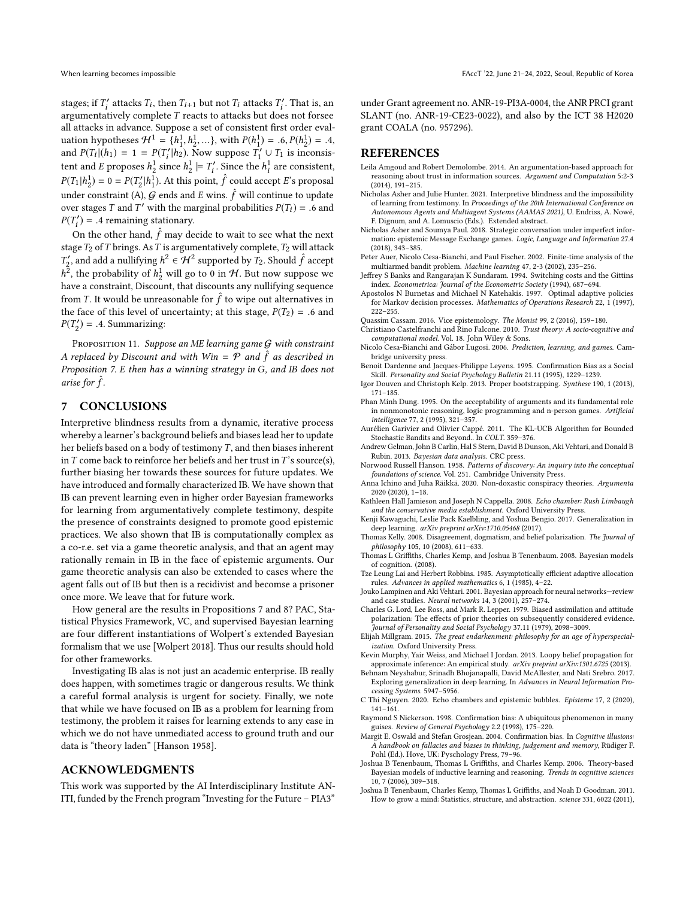stages; if  $T'_i$  attacks  $T_i$ , then  $T_{i+1}$  but not  $T_i$  attacks  $T'_i$ . That is, an argumentatively complete  $T$  reacts to attacks but does not force argumentatively complete T reacts to attacks but does not forsee<br>all attacks in advance. Suppose a set of consistent first order aval. all attacks in advance. Suppose a set of consistent first order evaluation hypotheses  $\mathcal{H}^1 = \{h_1^1, h_2^1, ...\}$ , with  $P(h_1^1) = .6, P(h_2^1) = .4$ , and  $P(T_1 | (h_1) = 1 - P(T'| h_2)$ . Now suppose  $T' \cup T_1$  is inconsisand  $P(T_i|(h_1) = 1 = P(T'_i|h_2)$ . Now suppose  $T'_1 \cup T_1$  is inconsistent and European second  $\frac{1}{2}$  inconsistent tent and E proposes  $h_2^1$  since  $h_2^1 \models T'_i$ . Since the  $h_i^1$  are consistent,  $P(T_1 | h_2^1) = 0 = P(T_2' | h_1^1)$ . At this point,  $\hat{f}$  could accept E's proposal under constraint (A),  $\hat{G}$  ends and E wins.  $\hat{f}$  will continue to update<br>over stages T and T' with the marginal probabilities  $P(T_1) = 6$  and over stages T and T' with the marginal probabilities  $P(T_i) = .6$  and  $P(T') = .4$  remaining stationary.  $P(T'_i) = .4$  remaining stationary.

 $\overline{C}$  on the other hand,  $\hat{f}$  may decide to wait to see what the next stage  $T_2$  of  $T$  brings. As  $T$  is argumentatively complete,  $T_2$  will attack  $\mu_1^2$ , the probability of  $h_2^1$  will go to 0 in H. But now suppose we have a constraint Discount that discounts are unlifering sequences  $\frac{a}{2}$ , and add a nullifying  $h^2 \in \mathcal{H}^2$  supported by  $T_2$ . Should  $\hat{f}$  accept  $\frac{a}{2}$ , the nucleotiality of  $h^1$  will ge to 0 in  $\mathcal{H}$ . But next summarize with have a constraint, Discount, that discounts any nullifying sequence from T. It would be unreasonable for  $\hat{f}$  to wipe out alternatives in the face of this layel of uncertainty at this stage  $P(T_0) = 6$  and the face of this level of uncertainty; at this stage,  $P(T_2) = .6$  and  $P(T_2') = .4$ . Summarizing:

PROPOSITION 11. Suppose an ME learning game  $G$  with constraint A replaced by Discount and with  $Win = \mathcal{P}$  and  $\hat{f}$  as described in Proposition 7 E then has a vinning strategy in G and IB does not Proposition [7.](#page-4-2) E then has a winning strategy in G, and IB does not arise for  $\hat{f}$ .

#### 7 CONCLUSIONS

Interpretive blindness results from a dynamic, iterative process whereby a learner's background beliefs and biases lead her to update her beliefs based on a body of testimony  $T$ , and then biases inherent in  $T$  come back to reinforce her beliefs and her trust in  $T$ 's source(s), further biasing her towards these sources for future updates. We have introduced and formally characterized IB. We have shown that IB can prevent learning even in higher order Bayesian frameworks for learning from argumentatively complete testimony, despite the presence of constraints designed to promote good epistemic practices. We also shown that IB is computationally complex as a co-r.e. set via a game theoretic analysis, and that an agent may rationally remain in IB in the face of epistemic arguments. Our game theoretic analysis can also be extended to cases where the agent falls out of IB but then is a recidivist and becomse a prisoner once more. We leave that for future work.

How general are the results in Propositions [7](#page-4-2) and [8?](#page-5-1) PAC, Statistical Physics Framework, VC, and supervised Bayesian learning are four different instantiations of Wolpert's extended Bayesian formalism that we use [\[Wolpert 2018\]](#page-9-1). Thus our results should hold for other frameworks.

Investigating IB alas is not just an academic enterprise. IB really does happen, with sometimes tragic or dangerous results. We think a careful formal analysis is urgent for society. Finally, we note that while we have focused on IB as a problem for learning from testimony, the problem it raises for learning extends to any case in which we do not have unmediated access to ground truth and our data is "theory laden" [\[Hanson 1958\]](#page-8-30).

## ACKNOWLEDGMENTS

This work was supported by the AI Interdisciplinary Institute AN-ITI, funded by the French program "Investing for the Future – PIA3" under Grant agreement no. ANR-19-PI3A-0004, the ANR PRCI grant SLANT (no. ANR-19-CE23-0022), and also by the ICT 38 H2020 grant COALA (no. 957296).

# REFERENCES

- <span id="page-8-27"></span>Leila Amgoud and Robert Demolombe. 2014. An argumentation-based approach for reasoning about trust in information sources. Argument and Computation 5:2-3 (2014), 191–215.
- <span id="page-8-9"></span>Nicholas Asher and Julie Hunter. 2021. Interpretive blindness and the impossibility of learning from testimony. In Proceedings of the 20th International Conference on Autonomous Agents and Multiagent Systems (AAMAS 2021), U. Endriss, A. Nowé, F. Dignum, and A. Lomuscio (Eds.). Extended abstract.
- <span id="page-8-13"></span>Nicholas Asher and Soumya Paul. 2018. Strategic conversation under imperfect information: epistemic Message Exchange games. Logic, Language and Information 27.4 (2018), 343–385.
- <span id="page-8-20"></span>Peter Auer, Nicolo Cesa-Bianchi, and Paul Fischer. 2002. Finite-time analysis of the multiarmed bandit problem. Machine learning 47, 2-3 (2002), 235–256.
- <span id="page-8-21"></span>Jeffrey S Banks and Rangarajan K Sundaram. 1994. Switching costs and the Gittins index. Econometrica: Journal of the Econometric Society (1994), 687–694.
- <span id="page-8-22"></span>Apostolos N Burnetas and Michael N Katehakis. 1997. Optimal adaptive policies for Markov decision processes. Mathematics of Operations Research 22, 1 (1997), 222–255.
- <span id="page-8-14"></span>Quassim Cassam. 2016. Vice epistemology. The Monist 99, 2 (2016), 159–180.
- <span id="page-8-29"></span>Christiano Castelfranchi and Rino Falcone. 2010. Trust theory: A socio-cognitive and computational model. Vol. 18. John Wiley & Sons.
- <span id="page-8-8"></span>Nicolo Cesa-Bianchi and Gábor Lugosi. 2006. Prediction, learning, and games. Cambridge university press.
- <span id="page-8-15"></span>Benoit Dardenne and Jacques-Philippe Leyens. 1995. Confirmation Bias as a Social Skill. Personality and Social Psychology Bulletin 21.11 (1995), 1229–1239.
- <span id="page-8-19"></span>Igor Douven and Christoph Kelp. 2013. Proper bootstrapping. Synthese 190, 1 (2013), 171–185.
- <span id="page-8-28"></span>Phan Minh Dung. 1995. On the acceptability of arguments and its fundamental role in nonmonotonic reasoning, logic programming and n-person games. Artificial intelligence 77, 2 (1995), 321–357.
- <span id="page-8-23"></span>Aurélien Garivier and Olivier Cappé. 2011. The KL-UCB Algorithm for Bounded Stochastic Bandits and Beyond.. In COLT. 359–376.
- <span id="page-8-1"></span>Andrew Gelman, John B Carlin, Hal S Stern, David B Dunson, Aki Vehtari, and Donald B Rubin. 2013. Bayesian data analysis. CRC press.
- <span id="page-8-30"></span>Norwood Russell Hanson. 1958. Patterns of discovery: An inquiry into the conceptual foundations of science. Vol. 251. Cambridge University Press.
- <span id="page-8-16"></span>Anna Ichino and Juha Räikkä. 2020. Non-doxastic conspiracy theories. Argumenta 2020 (2020), 1–18.
- <span id="page-8-17"></span>Kathleen Hall Jamieson and Joseph N Cappella. 2008. Echo chamber: Rush Limbaugh and the conservative media establishment. Oxford University Press.
- <span id="page-8-25"></span>Kenji Kawaguchi, Leslie Pack Kaelbling, and Yoshua Bengio. 2017. Generalization in deep learning. arXiv preprint arXiv:1710.05468 (2017).
- <span id="page-8-6"></span>Thomas Kelly. 2008. Disagreement, dogmatism, and belief polarization. The Journal of philosophy 105, 10 (2008), 611–633.
- <span id="page-8-2"></span>Thomas L Griffiths, Charles Kemp, and Joshua B Tenenbaum. 2008. Bayesian models of cognition. (2008).
- <span id="page-8-24"></span>Tze Leung Lai and Herbert Robbins. 1985. Asymptotically efficient adaptive allocation rules. Advances in applied mathematics 6, 1 (1985), 4–22.
- <span id="page-8-3"></span>Jouko Lampinen and Aki Vehtari. 2001. Bayesian approach for neural networks—review and case studies. Neural networks 14, 3 (2001), 257–274.
- <span id="page-8-10"></span>Charles G. Lord, Lee Ross, and Mark R. Lepper. 1979. Biased assimilation and attitude polarization: The effects of prior theories on subsequently considered evidence. Journal of Personality and Social Psychology 37.11 (1979), 2098–3009.
- <span id="page-8-0"></span>Elijah Millgram. 2015. The great endarkenment: philosophy for an age of hyperspecialization. Oxford University Press.
- <span id="page-8-7"></span>Kevin Murphy, Yair Weiss, and Michael I Jordan. 2013. Loopy belief propagation for approximate inference: An empirical study. arXiv preprint arXiv:1301.6725 (2013).
- <span id="page-8-26"></span>Behnam Neyshabur, Srinadh Bhojanapalli, David McAllester, and Nati Srebro. 2017. Exploring generalization in deep learning. In Advances in Neural Information Processing Systems. 5947–5956.
- <span id="page-8-18"></span>C Thi Nguyen. 2020. Echo chambers and epistemic bubbles. Episteme 17, 2 (2020), 141–161.
- <span id="page-8-11"></span>Raymond S Nickerson. 1998. Confirmation bias: A ubiquitous phenomenon in many guises. Review of General Psychology 2.2 (1998), 175–220.
- <span id="page-8-12"></span>Margit E. Oswald and Stefan Grosjean. 2004. Confirmation bias. In Cognitive illusions: A handbook on fallacies and biases in thinking, judgement and memory, Rüdiger F. Pohl (Ed.). Hove, UK: Pyschology Press, 79–96.
- <span id="page-8-4"></span>Joshua B Tenenbaum, Thomas L Griffiths, and Charles Kemp. 2006. Theory-based Bayesian models of inductive learning and reasoning. Trends in cognitive sciences 10, 7 (2006), 309–318.
- <span id="page-8-5"></span>Joshua B Tenenbaum, Charles Kemp, Thomas L Griffiths, and Noah D Goodman. 2011. How to grow a mind: Statistics, structure, and abstraction. science 331, 6022 (2011),